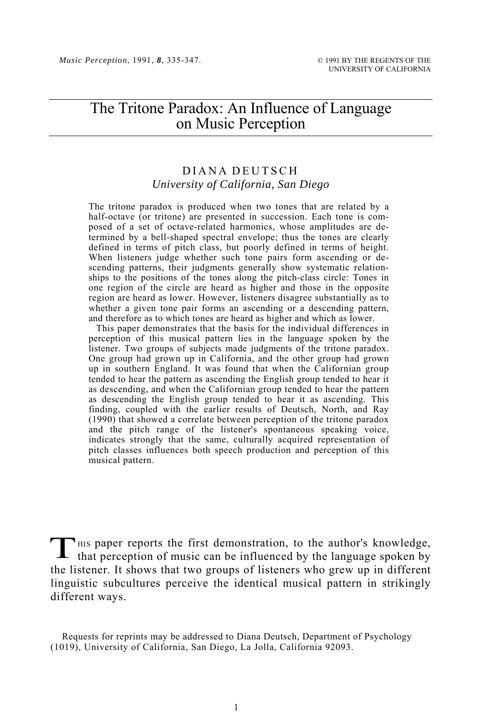# The Tritone Paradox: An Influence of Language on Music Perception

# DIANA DEUTSCH *University of California, San Diego*

The tritone paradox is produced when two tones that are related by a half-octave (or tritone) are presented in succession. Each tone is composed of a set of octave-related harmonics, whose amplitudes are determined by a bell-shaped spectral envelope; thus the tones are clearly defined in terms of pitch class, but poorly defined in terms of height. When listeners judge whether such tone pairs form ascending or descending patterns, their judgments generally show systematic relationships to the positions of the tones along the pitch-class circle: Tones in one region of the circle are heard as higher and those in the opposite region are heard as lower. However, listeners disagree substantially as to whether a given tone pair forms an ascending or a descending pattern, and therefore as to which tones are heard as higher and which as lower.

This paper demonstrates that the basis for the individual differences in perception of this musical pattern lies in the language spoken by the listener. Two groups of subjects made judgments of the tritone paradox. One group had grown up in California, and the other group had grown up in southern England. It was found that when the Californian group tended to hear the pattern as ascending the English group tended to hear it as descending, and when the Californian group tended to hear the pattern as descending the English group tended to hear it as ascending. This finding, coupled with the earlier results of Deutsch, North, and Ray (1990) that showed a correlate between perception of the tritone paradox and the pitch range of the listener's spontaneous speaking voice, indicates strongly that the same, culturally acquired representation of pitch classes influences both speech production and perception of this musical pattern.

HIS paper reports the first demonstration, to the author's knowledge, THIS paper reports the first demonstration, to the author's knowledge, that perception of music can be influenced by the language spoken by the listener. It shows that two groups of listeners who grew up in different linguistic subcultures perceive the identical musical pattern in strikingly different ways.

Requests for reprints may be addressed to Diana Deutsch, Department of Psychology (1019), University of California, San Diego, La Jolla, California 92093.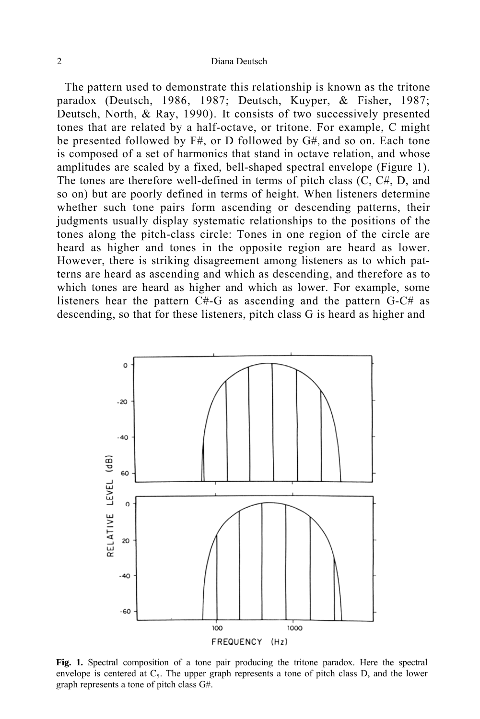The pattern used to demonstrate this relationship is known as the tritone paradox (Deutsch, 1986, 1987; Deutsch, Kuyper, & Fisher, 1987; Deutsch, North, & Ray, 1990). It consists of two successively presented tones that are related by a half-octave, or tritone. For example, C might be presented followed by  $F#$ , or D followed by  $G#$ , and so on. Each tone is composed of a set of harmonics that stand in octave relation, and whose amplitudes are scaled by a fixed, bell-shaped spectral envelope (Figure 1). The tones are therefore well-defined in terms of pitch class (C, C#, D, and so on) but are poorly defined in terms of height. When listeners determine whether such tone pairs form ascending or descending patterns, their judgments usually display systematic relationships to the positions of the tones along the pitch-class circle: Tones in one region of the circle are heard as higher and tones in the opposite region are heard as lower. However, there is striking disagreement among listeners as to which patterns are heard as ascending and which as descending, and therefore as to which tones are heard as higher and which as lower. For example, some listeners hear the pattern C#-G as ascending and the pattern G-C# as descending, so that for these listeners, pitch class G is heard as higher and



**Fig. 1.** Spectral composition of a tone pair producing the tritone paradox. Here the spectral envelope is centered at  $C_5$ . The upper graph represents a tone of pitch class D, and the lower graph represents a tone of pitch class G#.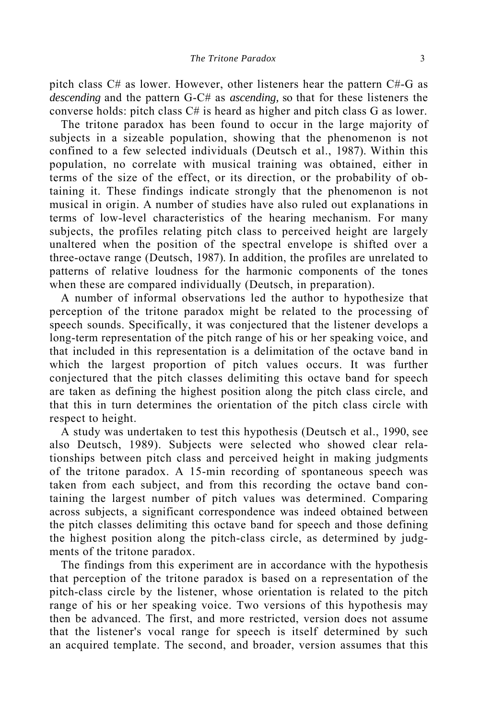pitch class C# as lower. However, other listeners hear the pattern C#-G as *descending* and the pattern G-C# as *ascending,* so that for these listeners the converse holds: pitch class C# is heard as higher and pitch class G as lower.

The tritone paradox has been found to occur in the large majority of subjects in a sizeable population, showing that the phenomenon is not confined to a few selected individuals (Deutsch et al., 1987). Within this population, no correlate with musical training was obtained, either in terms of the size of the effect, or its direction, or the probability of obtaining it. These findings indicate strongly that the phenomenon is not musical in origin. A number of studies have also ruled out explanations in terms of low-level characteristics of the hearing mechanism. For many subjects, the profiles relating pitch class to perceived height are largely unaltered when the position of the spectral envelope is shifted over a three-octave range (Deutsch, 1987). In addition, the profiles are unrelated to patterns of relative loudness for the harmonic components of the tones when these are compared individually (Deutsch, in preparation).

A number of informal observations led the author to hypothesize that perception of the tritone paradox might be related to the processing of speech sounds. Specifically, it was conjectured that the listener develops a long-term representation of the pitch range of his or her speaking voice, and that included in this representation is a delimitation of the octave band in which the largest proportion of pitch values occurs. It was further conjectured that the pitch classes delimiting this octave band for speech are taken as defining the highest position along the pitch class circle, and that this in turn determines the orientation of the pitch class circle with respect to height.

A study was undertaken to test this hypothesis (Deutsch et al., 1990, see also Deutsch, 1989). Subjects were selected who showed clear relationships between pitch class and perceived height in making judgments of the tritone paradox. A 15-min recording of spontaneous speech was taken from each subject, and from this recording the octave band containing the largest number of pitch values was determined. Comparing across subjects, a significant correspondence was indeed obtained between the pitch classes delimiting this octave band for speech and those defining the highest position along the pitch-class circle, as determined by judgments of the tritone paradox.

The findings from this experiment are in accordance with the hypothesis that perception of the tritone paradox is based on a representation of the pitch-class circle by the listener, whose orientation is related to the pitch range of his or her speaking voice. Two versions of this hypothesis may then be advanced. The first, and more restricted, version does not assume that the listener's vocal range for speech is itself determined by such an acquired template. The second, and broader, version assumes that this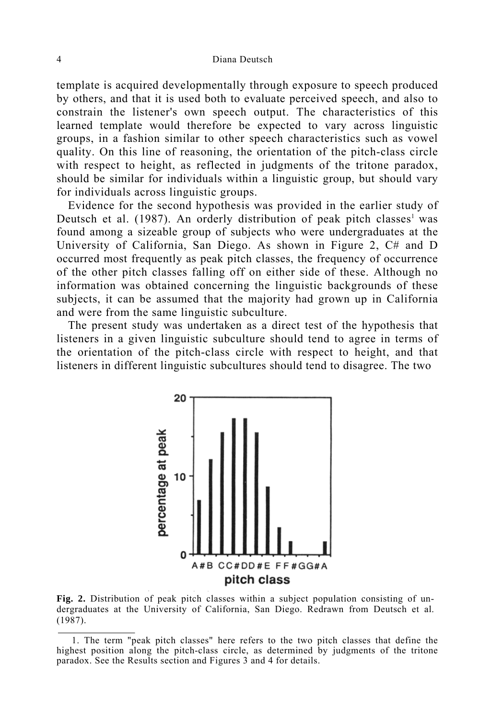template is acquired developmentally through exposure to speech produced by others, and that it is used both to evaluate perceived speech, and also to constrain the listener's own speech output. The characteristics of this learned template would therefore be expected to vary across linguistic groups, in a fashion similar to other speech characteristics such as vowel quality. On this line of reasoning, the orientation of the pitch-class circle with respect to height, as reflected in judgments of the tritone paradox, should be similar for individuals within a linguistic group, but should vary for individuals across linguistic groups.

Evidence for the second hypothesis was provided in the earlier study of Deutsch et al.  $(1987)$ . An orderly distribution of peak pitch classes<sup>1</sup> was found among a sizeable group of subjects who were undergraduates at the University of California, San Diego. As shown in Figure 2, C# and D occurred most frequently as peak pitch classes, the frequency of occurrence of the other pitch classes falling off on either side of these. Although no information was obtained concerning the linguistic backgrounds of these subjects, it can be assumed that the majority had grown up in California and were from the same linguistic subculture.

The present study was undertaken as a direct test of the hypothesis that listeners in a given linguistic subculture should tend to agree in terms of the orientation of the pitch-class circle with respect to height, and that listeners in different linguistic subcultures should tend to disagree. The two



**Fig. 2.** Distribution of peak pitch classes within a subject population consisting of undergraduates at the University of California, San Diego. Redrawn from Deutsch et al. (1987).

<sup>1.</sup> The term "peak pitch classes" here refers to the two pitch classes that define the highest position along the pitch-class circle, as determined by judgments of the tritone paradox. See the Results section and Figures 3 and 4 for details.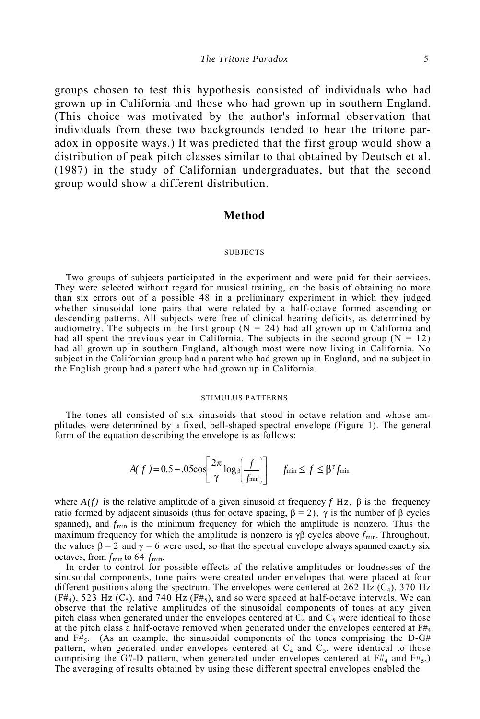groups chosen to test this hypothesis consisted of individuals who had grown up in California and those who had grown up in southern England. (This choice was motivated by the author's informal observation that individuals from these two backgrounds tended to hear the tritone paradox in opposite ways.) It was predicted that the first group would show a distribution of peak pitch classes similar to that obtained by Deutsch et al. (1987) in the study of Californian undergraduates, but that the second group would show a different distribution.

### **Method**

#### SUBJECTS

Two groups of subjects participated in the experiment and were paid for their services. They were selected without regard for musical training, on the basis of obtaining no more than six errors out of a possible 48 in a preliminary experiment in which they judged whether sinusoidal tone pairs that were related by a half-octave formed ascending or descending patterns. All subjects were free of clinical hearing deficits, as determined by audiometry. The subjects in the first group ( $N = 24$ ) had all grown up in California and had all spent the previous year in California. The subjects in the second group ( $N = 12$ ) had all grown up in southern England, although most were now living in California. No subject in the Californian group had a parent who had grown up in England, and no subject in the English group had a parent who had grown up in California.

#### STIMULUS PATTERNS

The tones all consisted of six sinusoids that stood in octave relation and whose amplitudes were determined by a fixed, bell-shaped spectral envelope (Figure 1). The general form of the equation describing the envelope is as follows:

$$
A(f) = 0.5 - 0.05 \cos \left[ \frac{2\pi}{\gamma} \log \beta \left( \frac{f}{f_{\min}} \right) \right] \quad f_{\min} \le f \le \beta^{\gamma} f_{\min}
$$

where  $A(f)$  is the relative amplitude of a given sinusoid at frequency *f* Hz,  $\beta$  is the frequency ratio formed by adjacent sinusoids (thus for octave spacing,  $β = 2$ ),  $γ$  is the number of  $β$  cycles spanned), and  $f_{\text{min}}$  is the minimum frequency for which the amplitude is nonzero. Thus the maximum frequency for which the amplitude is nonzero is γβ cycles above  $f_{\text{min}}$ . Throughout, the values  $\beta = 2$  and  $\gamma = 6$  were used, so that the spectral envelope always spanned exactly six octaves, from  $f_{\text{min}}$  to 64  $f_{\text{min}}$ .

In order to control for possible effects of the relative amplitudes or loudnesses of the sinusoidal components, tone pairs were created under envelopes that were placed at four different positions along the spectrum. The envelopes were centered at 262 Hz  $(C_4)$ , 370 Hz  $(F#_4)$ , 523 Hz  $(C_5)$ , and 740 Hz  $(F#_5)$ , and so were spaced at half-octave intervals. We can observe that the relative amplitudes of the sinusoidal components of tones at any given pitch class when generated under the envelopes centered at  $C_4$  and  $C_5$  were identical to those at the pitch class a half-octave removed when generated under the envelopes centered at  $F#_4$ and  $F_{\text{H5}}$ . (As an example, the sinusoidal components of the tones comprising the D-G# pattern, when generated under envelopes centered at  $C_4$  and  $C_5$ , were identical to those comprising the G#-D pattern, when generated under envelopes centered at  $F#_4$  and  $F#_5$ . The averaging of results obtained by using these different spectral envelopes enabled the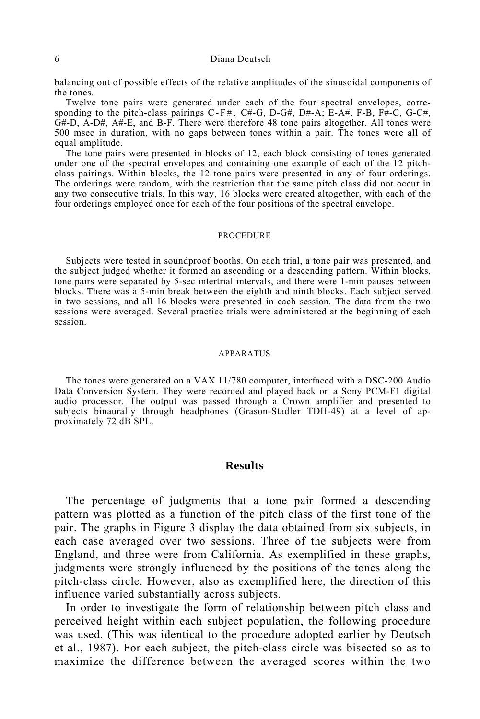balancing out of possible effects of the relative amplitudes of the sinusoidal components of the tones.

Twelve tone pairs were generated under each of the four spectral envelopes, corresponding to the pitch-class pairings  $C$ -F#,  $C$ #-G,  $D$ -G#,  $D#$ -A;  $E$ -A#, F-B,  $F#$ -C, G-C#,  $\hat{G}$ #-D,  $\hat{A}$ -D#,  $A$ #-E, and B-F. There were therefore 48 tone pairs altogether. All tones were 500 msec in duration, with no gaps between tones within a pair. The tones were all of equal amplitude.

The tone pairs were presented in blocks of 12, each block consisting of tones generated under one of the spectral envelopes and containing one example of each of the 12 pitchclass pairings. Within blocks, the 12 tone pairs were presented in any of four orderings. The orderings were random, with the restriction that the same pitch class did not occur in any two consecutive trials. In this way, 16 blocks were created altogether, with each of the four orderings employed once for each of the four positions of the spectral envelope.

#### PROCEDURE

Subjects were tested in soundproof booths. On each trial, a tone pair was presented, and the subject judged whether it formed an ascending or a descending pattern. Within blocks, tone pairs were separated by 5-sec intertrial intervals, and there were 1-min pauses between blocks. There was a 5-min break between the eighth and ninth blocks. Each subject served in two sessions, and all 16 blocks were presented in each session. The data from the two sessions were averaged. Several practice trials were administered at the beginning of each session.

#### APPARATUS

The tones were generated on a VAX 11/780 computer, interfaced with a DSC-200 Audio Data Conversion System. They were recorded and played back on a Sony PCM-F1 digital audio processor. The output was passed through a Crown amplifier and presented to subjects binaurally through headphones (Grason-Stadler TDH-49) at a level of approximately 72 dB SPL.

## **Results**

The percentage of judgments that a tone pair formed a descending pattern was plotted as a function of the pitch class of the first tone of the pair. The graphs in Figure 3 display the data obtained from six subjects, in each case averaged over two sessions. Three of the subjects were from England, and three were from California. As exemplified in these graphs, judgments were strongly influenced by the positions of the tones along the pitch-class circle. However, also as exemplified here, the direction of this influence varied substantially across subjects.

In order to investigate the form of relationship between pitch class and perceived height within each subject population, the following procedure was used. (This was identical to the procedure adopted earlier by Deutsch et al., 1987). For each subject, the pitch-class circle was bisected so as to maximize the difference between the averaged scores within the two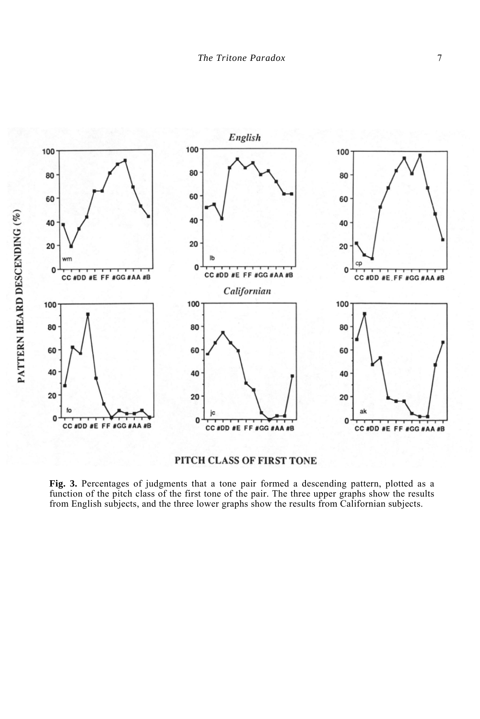

# PITCH CLASS OF FIRST TONE

**Fig. 3.** Percentages of judgments that a tone pair formed a descending pattern, plotted as a function of the pitch class of the first tone of the pair. The three upper graphs show the results from English subjects, and the three lower graphs show the results from Californian subjects.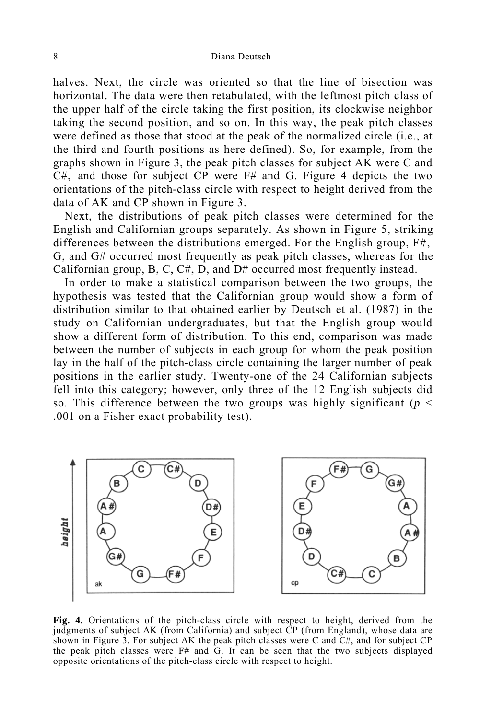halves. Next, the circle was oriented so that the line of bisection was horizontal. The data were then retabulated, with the leftmost pitch class of the upper half of the circle taking the first position, its clockwise neighbor taking the second position, and so on. In this way, the peak pitch classes were defined as those that stood at the peak of the normalized circle (i.e., at the third and fourth positions as here defined). So, for example, from the graphs shown in Figure 3, the peak pitch classes for subject AK were C and  $C#$ , and those for subject CP were  $F#$  and G. Figure 4 depicts the two orientations of the pitch-class circle with respect to height derived from the data of AK and CP shown in Figure 3.

Next, the distributions of peak pitch classes were determined for the English and Californian groups separately. As shown in Figure 5, striking differences between the distributions emerged. For the English group, F#, G, and G# occurred most frequently as peak pitch classes, whereas for the Californian group, B, C, C#, D, and D# occurred most frequently instead.

In order to make a statistical comparison between the two groups, the hypothesis was tested that the Californian group would show a form of distribution similar to that obtained earlier by Deutsch et al. (1987) in the study on Californian undergraduates, but that the English group would show a different form of distribution. To this end, comparison was made between the number of subjects in each group for whom the peak position lay in the half of the pitch-class circle containing the larger number of peak positions in the earlier study. Twenty-one of the 24 Californian subjects fell into this category; however, only three of the 12 English subjects did so. This difference between the two groups was highly significant ( $p <$ .001 on a Fisher exact probability test).



**Fig. 4.** Orientations of the pitch-class circle with respect to height, derived from the judgments of subject AK (from California) and subject CP (from England), whose data are shown in Figure 3. For subject AK the peak pitch classes were C and  $C#$ , and for subject CP the peak pitch classes were  $F#$  and  $G$ . It can be seen that the two subjects displayed opposite orientations of the pitch-class circle with respect to height.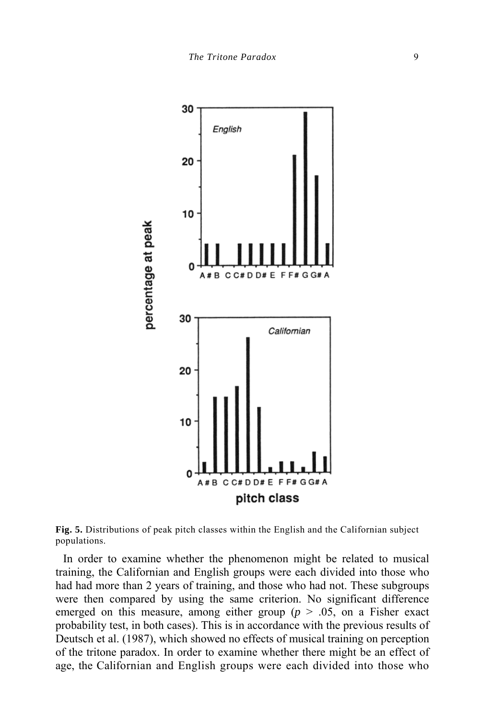

**Fig. 5.** Distributions of peak pitch classes within the English and the Californian subject populations.

In order to examine whether the phenomenon might be related to musical training, the Californian and English groups were each divided into those who had had more than 2 years of training, and those who had not. These subgroups were then compared by using the same criterion. No significant difference emerged on this measure, among either group ( $p > .05$ , on a Fisher exact probability test, in both cases). This is in accordance with the previous results of Deutsch et al. (1987), which showed no effects of musical training on perception of the tritone paradox. In order to examine whether there might be an effect of age, the Californian and English groups were each divided into those who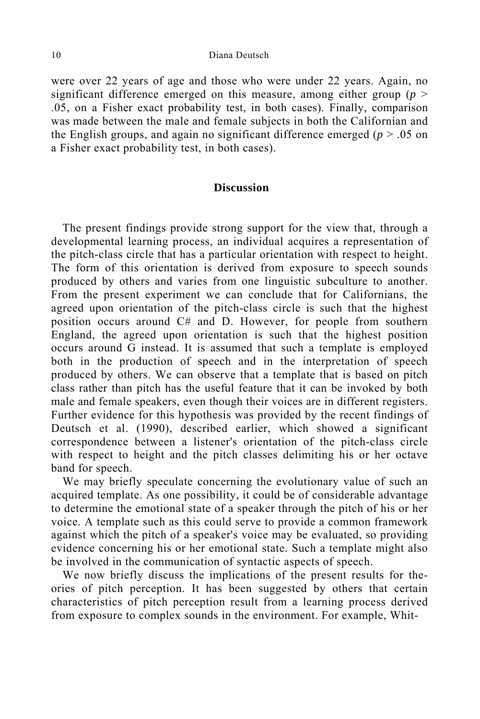were over 22 years of age and those who were under 22 years. Again, no significant difference emerged on this measure, among either group ( $p >$ .05, on a Fisher exact probability test, in both cases). Finally, comparison was made between the male and female subjects in both the Californian and the English groups, and again no significant difference emerged ( $p > .05$  on a Fisher exact probability test, in both cases).

# **Discussion**

The present findings provide strong support for the view that, through a developmental learning process, an individual acquires a representation of the pitch-class circle that has a particular orientation with respect to height. The form of this orientation is derived from exposure to speech sounds produced by others and varies from one linguistic subculture to another. From the present experiment we can conclude that for Californians, the agreed upon orientation of the pitch-class circle is such that the highest position occurs around C# and D. However, for people from southern England, the agreed upon orientation is such that the highest position occurs around G instead. It is assumed that such a template is employed both in the production of speech and in the interpretation of speech produced by others. We can observe that a template that is based on pitch class rather than pitch has the useful feature that it can be invoked by both male and female speakers, even though their voices are in different registers. Further evidence for this hypothesis was provided by the recent findings of Deutsch et al. (1990), described earlier, which showed a significant correspondence between a listener's orientation of the pitch-class circle with respect to height and the pitch classes delimiting his or her octave band for speech.

We may briefly speculate concerning the evolutionary value of such an acquired template. As one possibility, it could be of considerable advantage to determine the emotional state of a speaker through the pitch of his or her voice. A template such as this could serve to provide a common framework against which the pitch of a speaker's voice may be evaluated, so providing evidence concerning his or her emotional state. Such a template might also be involved in the communication of syntactic aspects of speech.

We now briefly discuss the implications of the present results for theories of pitch perception. It has been suggested by others that certain characteristics of pitch perception result from a learning process derived from exposure to complex sounds in the environment. For example, Whit-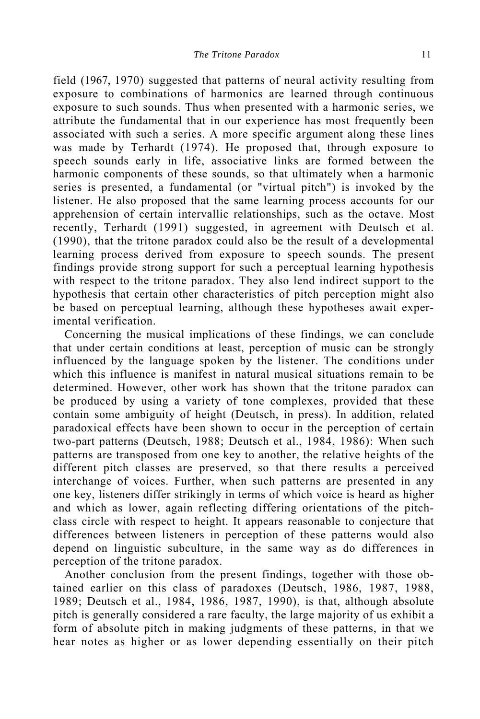field (1967, 1970) suggested that patterns of neural activity resulting from exposure to combinations of harmonics are learned through continuous exposure to such sounds. Thus when presented with a harmonic series, we attribute the fundamental that in our experience has most frequently been associated with such a series. A more specific argument along these lines was made by Terhardt (1974). He proposed that, through exposure to speech sounds early in life, associative links are formed between the harmonic components of these sounds, so that ultimately when a harmonic series is presented, a fundamental (or "virtual pitch") is invoked by the listener. He also proposed that the same learning process accounts for our apprehension of certain intervallic relationships, such as the octave. Most recently, Terhardt (1991) suggested, in agreement with Deutsch et al. (1990), that the tritone paradox could also be the result of a developmental learning process derived from exposure to speech sounds. The present findings provide strong support for such a perceptual learning hypothesis with respect to the tritone paradox. They also lend indirect support to the hypothesis that certain other characteristics of pitch perception might also be based on perceptual learning, although these hypotheses await experimental verification.

Concerning the musical implications of these findings, we can conclude that under certain conditions at least, perception of music can be strongly influenced by the language spoken by the listener. The conditions under which this influence is manifest in natural musical situations remain to be determined. However, other work has shown that the tritone paradox can be produced by using a variety of tone complexes, provided that these contain some ambiguity of height (Deutsch, in press). In addition, related paradoxical effects have been shown to occur in the perception of certain two-part patterns (Deutsch, 1988; Deutsch et al., 1984, 1986): When such patterns are transposed from one key to another, the relative heights of the different pitch classes are preserved, so that there results a perceived interchange of voices. Further, when such patterns are presented in any one key, listeners differ strikingly in terms of which voice is heard as higher and which as lower, again reflecting differing orientations of the pitchclass circle with respect to height. It appears reasonable to conjecture that differences between listeners in perception of these patterns would also depend on linguistic subculture, in the same way as do differences in perception of the tritone paradox.

Another conclusion from the present findings, together with those obtained earlier on this class of paradoxes (Deutsch, 1986, 1987, 1988, 1989; Deutsch et al., 1984, 1986, 1987, 1990), is that, although absolute pitch is generally considered a rare faculty, the large majority of us exhibit a form of absolute pitch in making judgments of these patterns, in that we hear notes as higher or as lower depending essentially on their pitch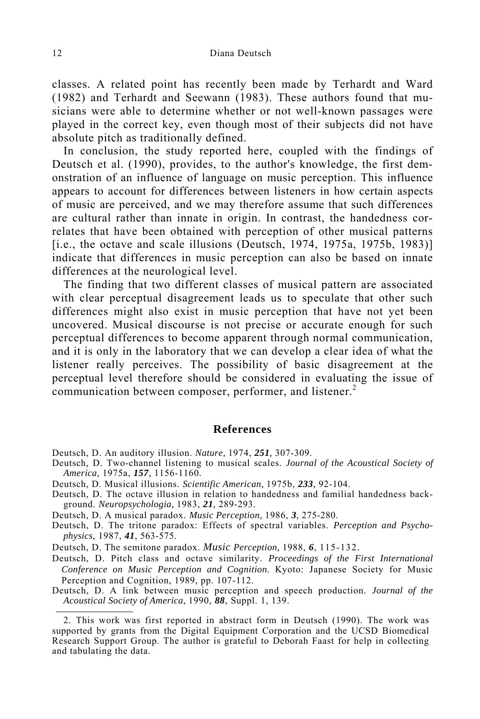classes. A related point has recently been made by Terhardt and Ward (1982) and Terhardt and Seewann (1983). These authors found that musicians were able to determine whether or not well-known passages were played in the correct key, even though most of their subjects did not have absolute pitch as traditionally defined.

In conclusion, the study reported here, coupled with the findings of Deutsch et al. (1990), provides, to the author's knowledge, the first demonstration of an influence of language on music perception. This influence appears to account for differences between listeners in how certain aspects of music are perceived, and we may therefore assume that such differences are cultural rather than innate in origin. In contrast, the handedness correlates that have been obtained with perception of other musical patterns [i.e., the octave and scale illusions (Deutsch,  $1974$ ,  $1975a$ ,  $1975b$ ,  $1983$ )] indicate that differences in music perception can also be based on innate differences at the neurological level.

The finding that two different classes of musical pattern are associated with clear perceptual disagreement leads us to speculate that other such differences might also exist in music perception that have not yet been uncovered. Musical discourse is not precise or accurate enough for such perceptual differences to become apparent through normal communication, and it is only in the laboratory that we can develop a clear idea of what the listener really perceives. The possibility of basic disagreement at the perceptual level therefore should be considered in evaluating the issue of communication between composer, performer, and listener. 2

### **References**

Deutsch, D. An auditory illusion. *Nature,* 1974, *251,* 307-309.

- Deutsch, D. Two-channel listening to musical scales. *Journal of the Acoustical Society of America,* 1975a, *157,* 1156-1160.
- Deutsch, D. Musical illusions. *Scientific American,* 1975b, *233,* 92-104.
- Deutsch, D. The octave illusion in relation to handedness and familial handedness background. *Neuropsychologia,* 1983, *21,* 289-293.
- Deutsch, D. A musical paradox. *Music Perception,* 1986, *3,* 275-280.
- Deutsch, D. The tritone paradox: Effects of spectral variables. *Perception and Psychophysics,* 1987, *41*, 563-575.
- Deutsch, D. The semitone paradox. *Music Perception,* 1988, *6*, 115-132.
- Deutsch, D. Pitch class and octave similarity. *Proceedings of the First International Conference on Music Perception and Cognition.* Kyoto: Japanese Society for Music Perception and Cognition, 1989, pp. 107-112.

Deutsch, D. A link between music perception and speech production. *Journal of the Acoustical Society of America,* 1990, *88*, Suppl. 1, 139.

<sup>2.</sup> This work was first reported in abstract form in Deutsch (1990). The work was supported by grants from the Digital Equipment Corporation and the UCSD Biomedical Research Support Group. The author is grateful to Deborah Faast for help in collecting and tabulating the data.